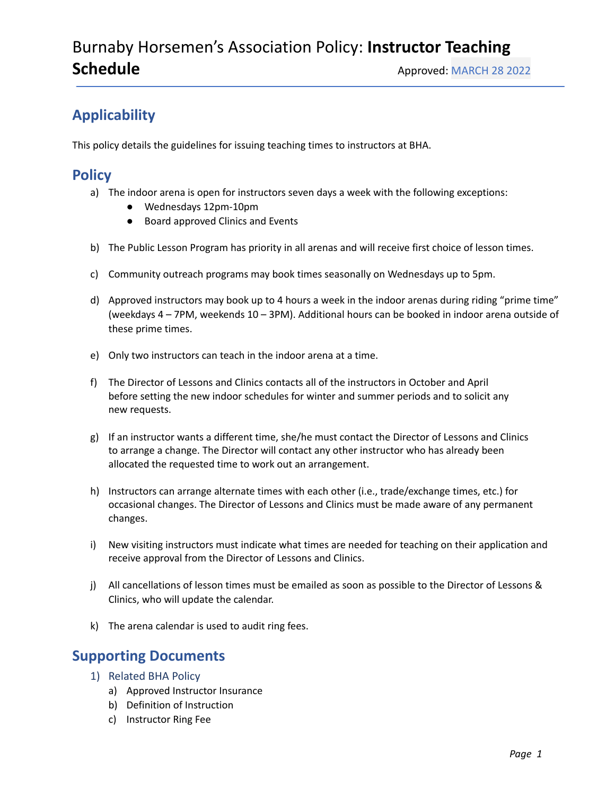## Burnaby Horsemen's Association Policy: **Instructor Teaching Schedule** Approved: MARCH 28 2022

# **Applicability**

This policy details the guidelines for issuing teaching times to instructors at BHA.

### **Policy**

- a) The indoor arena is open for instructors seven days a week with the following exceptions:
	- Wednesdays 12pm-10pm
	- Board approved Clinics and Events
- b) The Public Lesson Program has priority in all arenas and will receive first choice of lesson times.
- c) Community outreach programs may book times seasonally on Wednesdays up to 5pm.
- d) Approved instructors may book up to 4 hours a week in the indoor arenas during riding "prime time" (weekdays 4 – 7PM, weekends 10 – 3PM). Additional hours can be booked in indoor arena outside of these prime times.
- e) Only two instructors can teach in the indoor arena at a time.
- f) The Director of Lessons and Clinics contacts all of the instructors in October and April before setting the new indoor schedules for winter and summer periods and to solicit any new requests.
- g) If an instructor wants a different time, she/he must contact the Director of Lessons and Clinics to arrange a change. The Director will contact any other instructor who has already been allocated the requested time to work out an arrangement.
- h) Instructors can arrange alternate times with each other (i.e., trade/exchange times, etc.) for occasional changes. The Director of Lessons and Clinics must be made aware of any permanent changes.
- i) New visiting instructors must indicate what times are needed for teaching on their application and receive approval from the Director of Lessons and Clinics.
- j) All cancellations of lesson times must be emailed as soon as possible to the Director of Lessons & Clinics, who will update the calendar.
- k) The arena calendar is used to audit ring fees.

### **Supporting Documents**

- 1) Related BHA Policy
	- a) Approved Instructor Insurance
	- b) Definition of Instruction
	- c) Instructor Ring Fee